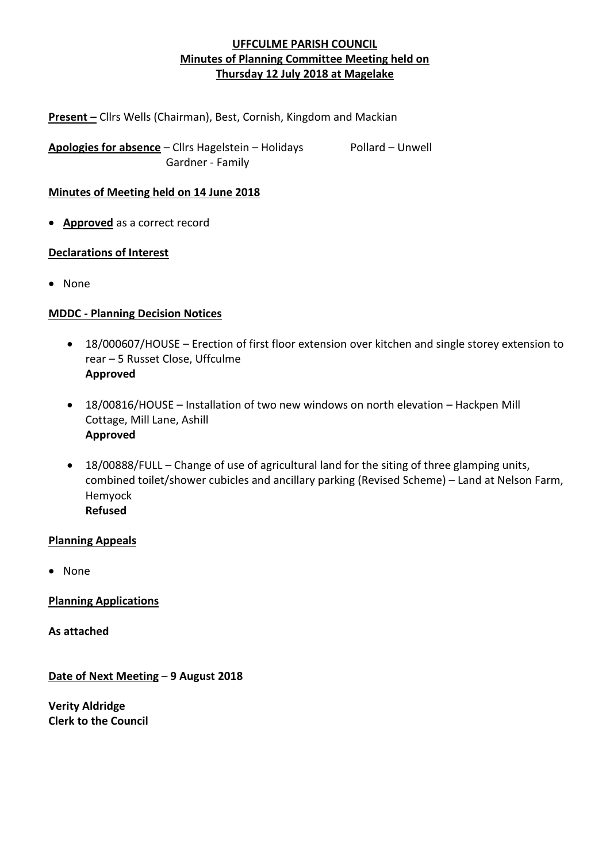**Present –** Cllrs Wells (Chairman), Best, Cornish, Kingdom and Mackian

Apologies for absence - Cllrs Hagelstein - Holidays Pollard - Unwell Gardner - Family

### **Minutes of Meeting held on 14 June 2018**

• **Approved** as a correct record

### **Declarations of Interest**

• None

## **MDDC - Planning Decision Notices**

- 18/000607/HOUSE Erection of first floor extension over kitchen and single storey extension to rear – 5 Russet Close, Uffculme **Approved**
- 18/00816/HOUSE Installation of two new windows on north elevation Hackpen Mill Cottage, Mill Lane, Ashill **Approved**
- 18/00888/FULL Change of use of agricultural land for the siting of three glamping units, combined toilet/shower cubicles and ancillary parking (Revised Scheme) – Land at Nelson Farm, Hemyock **Refused**

#### **Planning Appeals**

• None

**Planning Applications**

**As attached**

**Date of Next Meeting** – **9 August 2018**

**Verity Aldridge Clerk to the Council**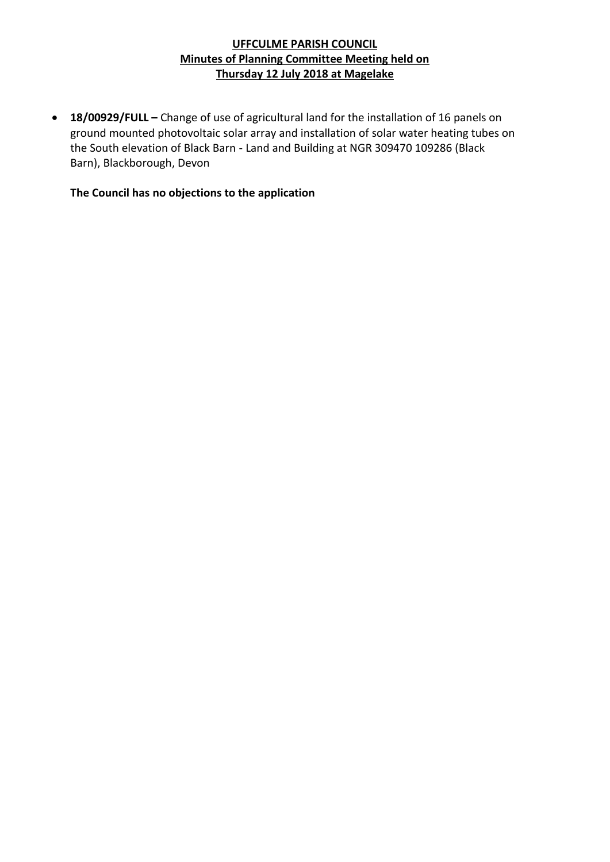• **18/00929/FULL –** Change of use of agricultural land for the installation of 16 panels on ground mounted photovoltaic solar array and installation of solar water heating tubes on the South elevation of Black Barn - Land and Building at NGR 309470 109286 (Black Barn), Blackborough, Devon

**The Council has no objections to the application**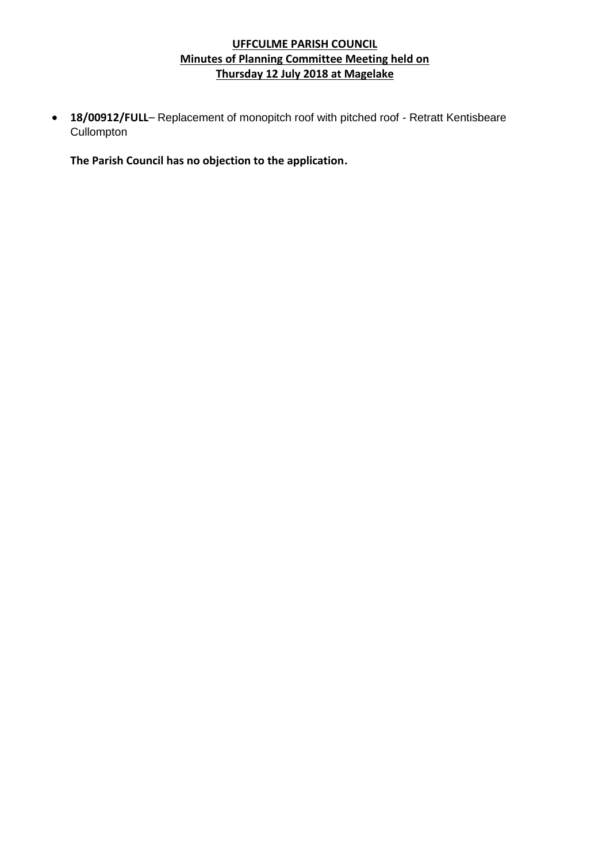• **18/00912/FULL**– Replacement of monopitch roof with pitched roof - Retratt Kentisbeare **Cullompton** 

**The Parish Council has no objection to the application.**